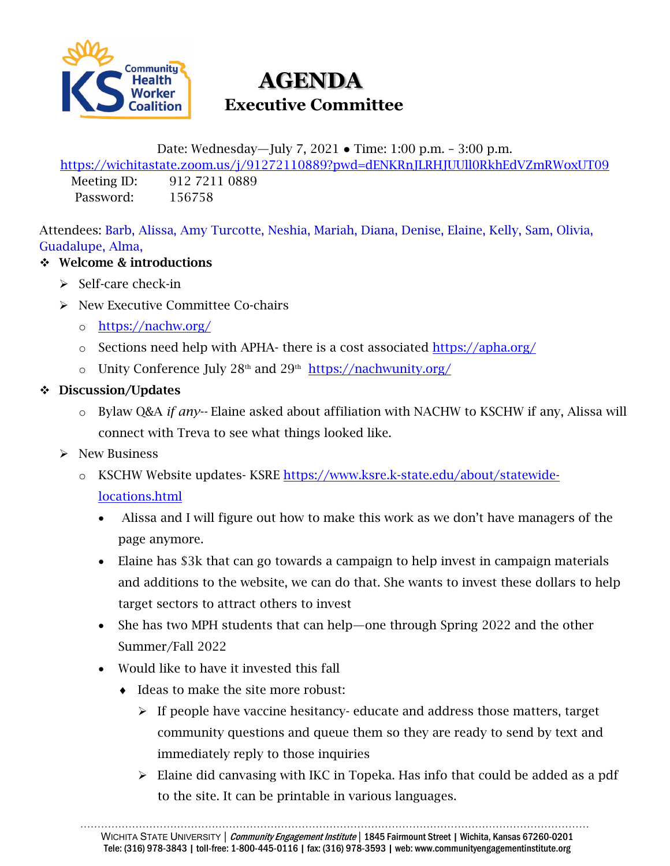

# **AGENDA Executive Committee**

Date: Wednesday—July 7, 2021 ● Time: 1:00 p.m. – 3:00 p.m.

<https://wichitastate.zoom.us/j/91272110889?pwd=dENKRnJLRHJUUll0RkhEdVZmRWoxUT09> Meeting ID: 912 7211 0889

Password: 156758

Attendees: Barb, Alissa, Amy Turcotte, Neshia, Mariah, Diana, Denise, Elaine, Kelly, Sam, Olivia, Guadalupe, Alma,

### ❖ Welcome & introductions

- $\triangleright$  Self-care check-in
- $\triangleright$  New Executive Committee Co-chairs
	- o <https://nachw.org/>
	- o Sections need help with APHA- there is a cost associated<https://apha.org/>
	- o Unity Conference July  $28<sup>th</sup>$  and  $29<sup>th</sup>$  <https://nachwunity.org/>

#### Discussion/Updates

- o Bylaw Q&A *if any--* Elaine asked about affiliation with NACHW to KSCHW if any, Alissa will connect with Treva to see what things looked like.
- $\triangleright$  New Business
	- o KSCHW Website updates- KSRE [https://www.ksre.k-state.edu/about/statewide](https://www.ksre.k-state.edu/about/statewide-locations.html)[locations.html](https://www.ksre.k-state.edu/about/statewide-locations.html)
		- Alissa and I will figure out how to make this work as we don't have managers of the page anymore.
		- Elaine has \$3k that can go towards a campaign to help invest in campaign materials and additions to the website, we can do that. She wants to invest these dollars to help target sectors to attract others to invest
		- She has two MPH students that can help—one through Spring 2022 and the other Summer/Fall 2022
		- Would like to have it invested this fall
			- ♦ Ideas to make the site more robust:
				- $\triangleright$  If people have vaccine hesitancy- educate and address those matters, target community questions and queue them so they are ready to send by text and immediately reply to those inquiries
				- Elaine did canvasing with IKC in Topeka. Has info that could be added as a pdf to the site. It can be printable in various languages.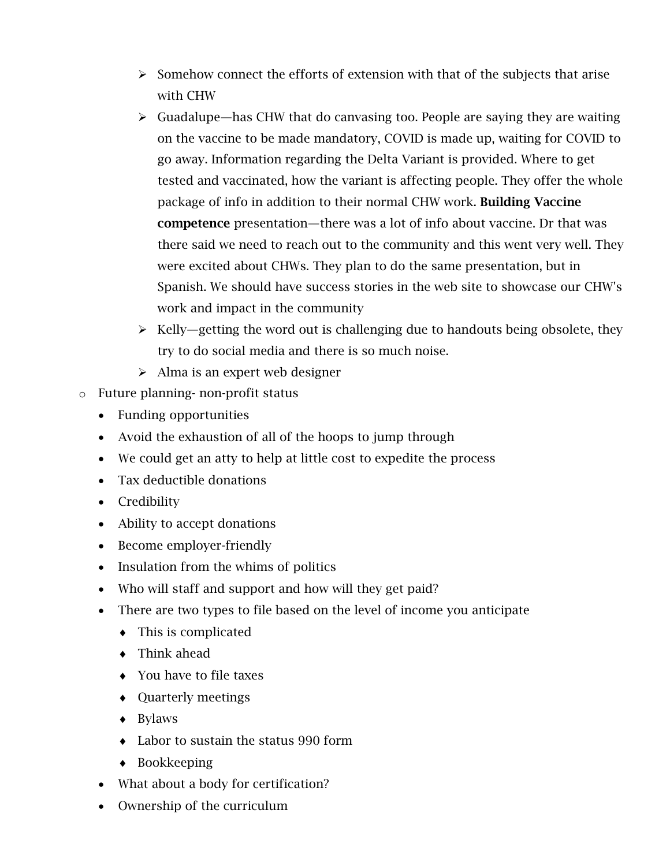- $\triangleright$  Somehow connect the efforts of extension with that of the subjects that arise with CHW
- $\triangleright$  Guadalupe—has CHW that do canvasing too. People are saying they are waiting on the vaccine to be made mandatory, COVID is made up, waiting for COVID to go away. Information regarding the Delta Variant is provided. Where to get tested and vaccinated, how the variant is affecting people. They offer the whole package of info in addition to their normal CHW work. Building Vaccine competence presentation—there was a lot of info about vaccine. Dr that was there said we need to reach out to the community and this went very well. They were excited about CHWs. They plan to do the same presentation, but in Spanish. We should have success stories in the web site to showcase our CHW's work and impact in the community
- $\triangleright$  Kelly—getting the word out is challenging due to handouts being obsolete, they try to do social media and there is so much noise.
- $\triangleright$  Alma is an expert web designer
- o Future planning- non-profit status
	- Funding opportunities
	- Avoid the exhaustion of all of the hoops to jump through
	- We could get an atty to help at little cost to expedite the process
	- Tax deductible donations
	- Credibility
	- Ability to accept donations
	- Become employer-friendly
	- Insulation from the whims of politics
	- Who will staff and support and how will they get paid?
	- There are two types to file based on the level of income you anticipate
		- ♦ This is complicated
		- ♦ Think ahead
		- ♦ You have to file taxes
		- ♦ Quarterly meetings
		- ♦ Bylaws
		- ♦ Labor to sustain the status 990 form
		- ♦ Bookkeeping
	- What about a body for certification?
	- Ownership of the curriculum